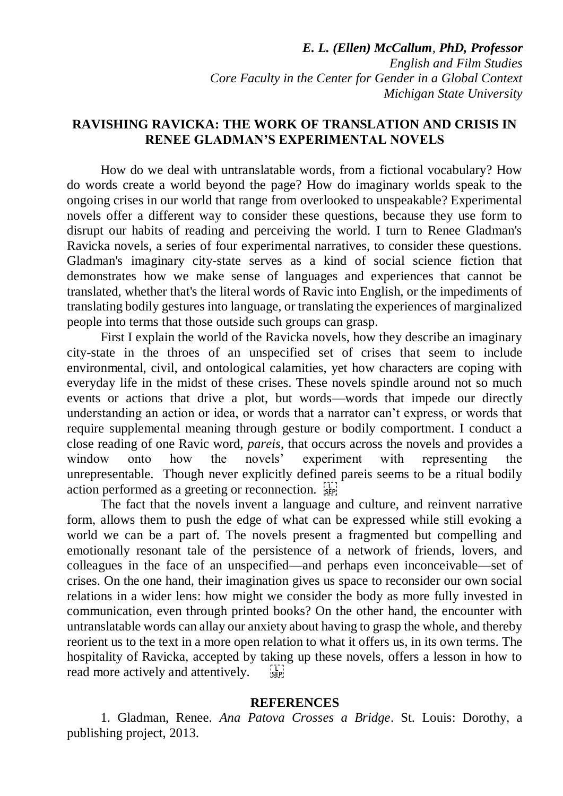*E. L. (Ellen) McCallum, PhD, Professor English and Film Studies Core Faculty in the Center for Gender in a Global Context Michigan State University*

## **RAVISHING RAVICKA: THE WORK OF TRANSLATION AND CRISIS IN RENEE GLADMAN'S EXPERIMENTAL NOVELS**

How do we deal with untranslatable words, from a fictional vocabulary? How do words create a world beyond the page? How do imaginary worlds speak to the ongoing crises in our world that range from overlooked to unspeakable? Experimental novels offer a different way to consider these questions, because they use form to disrupt our habits of reading and perceiving the world. I turn to Renee Gladman's Ravicka novels, a series of four experimental narratives, to consider these questions. Gladman's imaginary city-state serves as a kind of social science fiction that demonstrates how we make sense of languages and experiences that cannot be translated, whether that's the literal words of Ravic into English, or the impediments of translating bodily gestures into language, or translating the experiences of marginalized people into terms that those outside such groups can grasp.

First I explain the world of the Ravicka novels, how they describe an imaginary city-state in the throes of an unspecified set of crises that seem to include environmental, civil, and ontological calamities, yet how characters are coping with everyday life in the midst of these crises. These novels spindle around not so much events or actions that drive a plot, but words—words that impede our directly understanding an action or idea, or words that a narrator can't express, or words that require supplemental meaning through gesture or bodily comportment. I conduct a close reading of one Ravic word, *pareis*, that occurs across the novels and provides a window onto how the novels' experiment with representing the unrepresentable. Though never explicitly defined pareis seems to be a ritual bodily action performed as a greeting or reconnection.  $\frac{1}{35}$ 

The fact that the novels invent a language and culture, and reinvent narrative form, allows them to push the edge of what can be expressed while still evoking a world we can be a part of. The novels present a fragmented but compelling and emotionally resonant tale of the persistence of a network of friends, lovers, and colleagues in the face of an unspecified—and perhaps even inconceivable—set of crises. On the one hand, their imagination gives us space to reconsider our own social relations in a wider lens: how might we consider the body as more fully invested in communication, even through printed books? On the other hand, the encounter with untranslatable words can allay our anxiety about having to grasp the whole, and thereby reorient us to the text in a more open relation to what it offers us, in its own terms. The hospitality of Ravicka, accepted by taking up these novels, offers a lesson in how to read more actively and attentively.  $\frac{1}{15}$ 

## **REFERENCES**

1. Gladman, Renee. *Ana Patova Crosses a Bridge*. St. Louis: Dorothy, a publishing project, 2013.